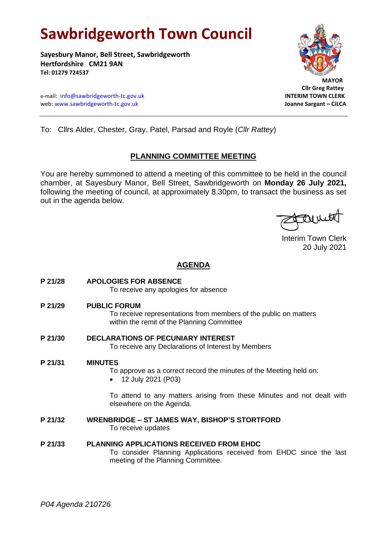# **Sawbridgeworth Town Council**

**Sayesbury Manor, Bell Street, Sawbridgeworth Hertfordshire CM21 9AN Tel: 01279 724537**

e-mail: [info@sawbridgeworth-tc.gov.uk](mailto:info@sawbridgeworth-tc.gov.uk) **INTERIM TOWN CLERK** web: www.sawbridgeworth-tc.gov.uk **Joanne Sargant – CiLCA**



## **PLANNING COMMITTEE MEETING**

You are hereby summoned to attend a meeting of this committee to be held in the council chamber, at Sayesbury Manor, Bell Street, Sawbridgeworth on **Monday 26 July 2021,**  following the meeting of council, at approximately 8.30pm, to transact the business as set out in the agenda below.

Tourit

Interim Town Clerk 20 July 2021

### **AGENDA**

**P 21/28 APOLOGIES FOR ABSENCE** To receive any apologies for absence **P 21/29 PUBLIC FORUM** To receive representations from members of the public on matters within the remit of the Planning Committee **P 21/30 DECLARATIONS OF PECUNIARY INTEREST** To receive any Declarations of Interest by Members **P 21/31 MINUTES** To approve as a correct record the minutes of the Meeting held on: • 12 July 2021 (P03) To attend to any matters arising from these Minutes and not dealt with elsewhere on the Agenda. **P 21/32 WRENBRIDGE – ST JAMES WAY, BISHOP'S STORTFORD** To receive updates **P 21/33 PLANNING APPLICATIONS RECEIVED FROM EHDC** To consider Planning Applications received from EHDC since the last meeting of the Planning Committee.



**MAYOR MAYOR Cllr Greg Rattey**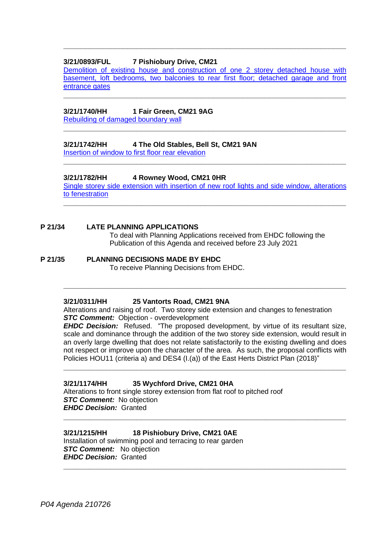#### **3/21/0893/FUL 7 Pishiobury Drive, CM21**

[Demolition of existing house and construction of one 2 storey detached house with](https://publicaccess.eastherts.gov.uk/online-applications/applicationDetails.do?activeTab=documents&keyVal=QR6PPXGL04O00)  [basement, loft bedrooms, two balconies to rear first floor;](https://publicaccess.eastherts.gov.uk/online-applications/applicationDetails.do?activeTab=documents&keyVal=QR6PPXGL04O00) detached garage and front [entrance gates](https://publicaccess.eastherts.gov.uk/online-applications/applicationDetails.do?activeTab=documents&keyVal=QR6PPXGL04O00) **\_\_\_\_\_\_\_\_\_\_\_\_\_\_\_\_\_\_\_\_\_\_\_\_\_\_\_\_\_\_\_\_\_\_\_\_\_\_\_\_\_\_\_\_\_\_\_\_\_\_\_\_\_\_\_\_\_\_\_\_\_\_\_\_\_\_**

**\_\_\_\_\_\_\_\_\_\_\_\_\_\_\_\_\_\_\_\_\_\_\_\_\_\_\_\_\_\_\_\_\_\_\_\_\_\_\_\_\_\_\_\_\_\_\_\_\_\_\_\_\_\_\_\_\_\_\_\_\_\_\_\_\_\_**

**\_\_\_\_\_\_\_\_\_\_\_\_\_\_\_\_\_\_\_\_\_\_\_\_\_\_\_\_\_\_\_\_\_\_\_\_\_\_\_\_\_\_\_\_\_\_\_\_\_\_\_\_\_\_\_\_\_\_\_\_\_\_\_\_\_\_**

**\_\_\_\_\_\_\_\_\_\_\_\_\_\_\_\_\_\_\_\_\_\_\_\_\_\_\_\_\_\_\_\_\_\_\_\_\_\_\_\_\_\_\_\_\_\_\_\_\_\_\_\_\_\_\_\_\_\_\_\_\_\_\_\_\_\_**

#### **3/21/1740/HH 1 Fair Green, CM21 9AG**

[Rebuilding of damaged boundary wall](https://publicaccess.eastherts.gov.uk/online-applications/applicationDetails.do?activeTab=documents&keyVal=QVISGJGLFTM00)

#### **3/21/1742/HH 4 The Old Stables, Bell St, CM21 9AN**

[Insertion of window to first floor rear elevation](https://publicaccess.eastherts.gov.uk/online-applications/applicationDetails.do?activeTab=documents&keyVal=QVK0TQGLFTS00)

#### **3/21/1782/HH 4 Rowney Wood, CM21 0HR**

[Single storey side extension with insertion of new roof lights and side window, alterations](https://publicaccess.eastherts.gov.uk/online-applications/applicationDetails.do?activeTab=documents&keyVal=QVTA8QGLFWU00)  [to fenestration](https://publicaccess.eastherts.gov.uk/online-applications/applicationDetails.do?activeTab=documents&keyVal=QVTA8QGLFWU00) **\_\_\_\_\_\_\_\_\_\_\_\_\_\_\_\_\_\_\_\_\_\_\_\_\_\_\_\_\_\_\_\_\_\_\_\_\_\_\_\_\_\_\_\_\_\_\_\_\_\_\_\_\_\_\_\_\_\_\_\_\_\_\_\_\_\_**

#### **P 21/34 LATE PLANNING APPLICATIONS**

To deal with Planning Applications received from EHDC following the Publication of this Agenda and received before 23 July 2021

#### **P 21/35 PLANNING DECISIONS MADE BY EHDC**

To receive Planning Decisions from EHDC.

#### **3/21/0311/HH 25 Vantorts Road, CM21 9NA**

Alterations and raising of roof. Two storey side extension and changes to fenestration *STC Comment:* Objection - overdevelopment

**\_\_\_\_\_\_\_\_\_\_\_\_\_\_\_\_\_\_\_\_\_\_\_\_\_\_\_\_\_\_\_\_\_\_\_\_\_\_\_\_\_\_\_\_\_\_\_\_\_\_\_\_\_\_\_\_\_\_\_\_\_\_\_\_\_\_**

*EHDC Decision:* Refused. "The proposed development, by virtue of its resultant size, scale and dominance through the addition of the two storey side extension, would result in an overly large dwelling that does not relate satisfactorily to the existing dwelling and does not respect or improve upon the character of the area. As such, the proposal conflicts with Policies HOU11 (criteria a) and DES4 (I.(a)) of the East Herts District Plan (2018)"

**\_\_\_\_\_\_\_\_\_\_\_\_\_\_\_\_\_\_\_\_\_\_\_\_\_\_\_\_\_\_\_\_\_\_\_\_\_\_\_\_\_\_\_\_\_\_\_\_\_\_\_\_\_\_\_\_\_\_\_\_\_\_\_\_\_\_**

**\_\_\_\_\_\_\_\_\_\_\_\_\_\_\_\_\_\_\_\_\_\_\_\_\_\_\_\_\_\_\_\_\_\_\_\_\_\_\_\_\_\_\_\_\_\_\_\_\_\_\_\_\_\_\_\_\_\_\_\_\_\_\_\_\_\_**

**\_\_\_\_\_\_\_\_\_\_\_\_\_\_\_\_\_\_\_\_\_\_\_\_\_\_\_\_\_\_\_\_\_\_\_\_\_\_\_\_\_\_\_\_\_\_\_\_\_\_\_\_\_\_\_\_\_\_\_\_\_\_\_\_\_\_**

## **3/21/1174/HH 35 Wychford Drive, CM21 0HA**

Alterations to front single storey extension from flat roof to pitched roof *STC Comment:* No objection *EHDC Decision:* Granted

#### **3/21/1215/HH 18 Pishiobury Drive, CM21 0AE**

Installation of swimming pool and terracing to rear garden **STC Comment:** No objection *EHDC Decision:* Granted